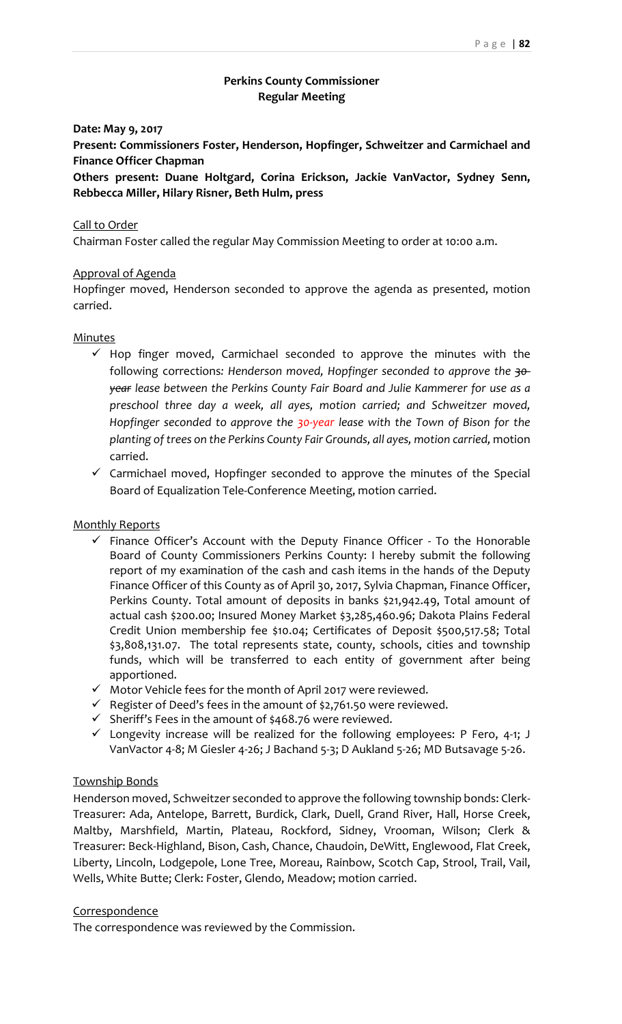# **Perkins County Commissioner Regular Meeting**

## **Date: May 9, 2017**

**Present: Commissioners Foster, Henderson, Hopfinger, Schweitzer and Carmichael and Finance Officer Chapman**

**Others present: Duane Holtgard, Corina Erickson, Jackie VanVactor, Sydney Senn, Rebbecca Miller, Hilary Risner, Beth Hulm, press**

#### Call to Order

Chairman Foster called the regular May Commission Meeting to order at 10:00 a.m.

### Approval of Agenda

Hopfinger moved, Henderson seconded to approve the agenda as presented, motion carried.

#### **Minutes**

- $\checkmark$  Hop finger moved, Carmichael seconded to approve the minutes with the following corrections*: Henderson moved, Hopfinger seconded to approve the 30‐ year lease between the Perkins County Fair Board and Julie Kammerer for use as a preschool three day a week, all ayes, motion carried; and Schweitzer moved, Hopfinger seconded to approve the 30‐year lease with the Town of Bison for the planting of trees on the Perkins County Fair Grounds, all ayes, motion carried,* motion carried.
- $\checkmark$  Carmichael moved, Hopfinger seconded to approve the minutes of the Special Board of Equalization Tele‐Conference Meeting, motion carried.

#### Monthly Reports

- $\checkmark$  Finance Officer's Account with the Deputy Finance Officer To the Honorable Board of County Commissioners Perkins County: I hereby submit the following report of my examination of the cash and cash items in the hands of the Deputy Finance Officer of this County as of April 30, 2017, Sylvia Chapman, Finance Officer, Perkins County. Total amount of deposits in banks \$21,942.49, Total amount of actual cash \$200.00; Insured Money Market \$3,285,460.96; Dakota Plains Federal Credit Union membership fee \$10.04; Certificates of Deposit \$500,517.58; Total \$3,808,131.07. The total represents state, county, schools, cities and township funds, which will be transferred to each entity of government after being apportioned.
- $\overrightarrow{M}$  Motor Vehicle fees for the month of April 2017 were reviewed.
- $\checkmark$  Register of Deed's fees in the amount of \$2,761.50 were reviewed.
- $\checkmark$  Sheriff's Fees in the amount of \$468.76 were reviewed.
- $\checkmark$  Longevity increase will be realized for the following employees: P Fero, 4-1; J VanVactor 4‐8; M Giesler 4‐26; J Bachand 5‐3; D Aukland 5‐26; MD Butsavage 5‐26.

#### Township Bonds

Henderson moved, Schweitzer seconded to approve the following township bonds: Clerk‐ Treasurer: Ada, Antelope, Barrett, Burdick, Clark, Duell, Grand River, Hall, Horse Creek, Maltby, Marshfield, Martin, Plateau, Rockford, Sidney, Vrooman, Wilson; Clerk & Treasurer: Beck‐Highland, Bison, Cash, Chance, Chaudoin, DeWitt, Englewood, Flat Creek, Liberty, Lincoln, Lodgepole, Lone Tree, Moreau, Rainbow, Scotch Cap, Strool, Trail, Vail, Wells, White Butte; Clerk: Foster, Glendo, Meadow; motion carried.

### Correspondence

The correspondence was reviewed by the Commission.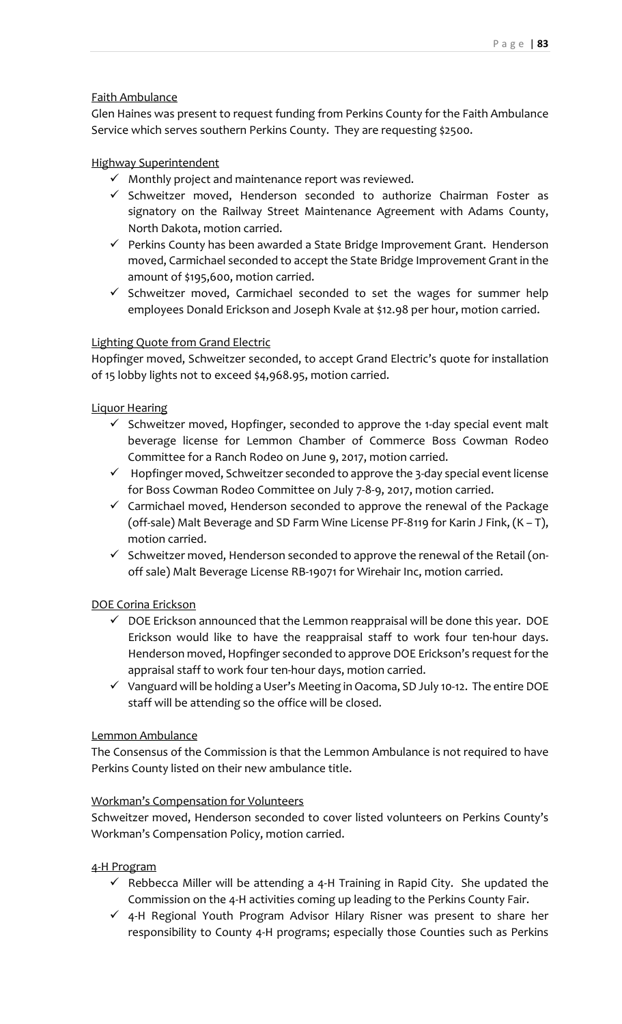# Faith Ambulance

Glen Haines was present to request funding from Perkins County for the Faith Ambulance Service which serves southern Perkins County. They are requesting \$2500.

# Highway Superintendent

- $\checkmark$  Monthly project and maintenance report was reviewed.
- $\checkmark$  Schweitzer moved, Henderson seconded to authorize Chairman Foster as signatory on the Railway Street Maintenance Agreement with Adams County, North Dakota, motion carried.
- $\checkmark$  Perkins County has been awarded a State Bridge Improvement Grant. Henderson moved, Carmichael seconded to accept the State Bridge Improvement Grant in the amount of \$195,600, motion carried.
- $\checkmark$  Schweitzer moved, Carmichael seconded to set the wages for summer help employees Donald Erickson and Joseph Kvale at \$12.98 per hour, motion carried.

# Lighting Quote from Grand Electric

Hopfinger moved, Schweitzer seconded, to accept Grand Electric's quote for installation of 15 lobby lights not to exceed \$4,968.95, motion carried.

# Liquor Hearing

- $\checkmark$  Schweitzer moved, Hopfinger, seconded to approve the 1-day special event malt beverage license for Lemmon Chamber of Commerce Boss Cowman Rodeo Committee for a Ranch Rodeo on June 9, 2017, motion carried.
- $\checkmark$  Hopfinger moved, Schweitzer seconded to approve the 3-day special event license for Boss Cowman Rodeo Committee on July 7‐8‐9, 2017, motion carried.
- $\checkmark$  Carmichael moved, Henderson seconded to approve the renewal of the Package (off‐sale) Malt Beverage and SD Farm Wine License PF‐8119 for Karin J Fink, (K – T), motion carried.
- $\checkmark$  Schweitzer moved, Henderson seconded to approve the renewal of the Retail (onoff sale) Malt Beverage License RB‐19071 for Wirehair Inc, motion carried.

## DOE Corina Erickson

- $\checkmark$  DOE Erickson announced that the Lemmon reappraisal will be done this year. DOE Erickson would like to have the reappraisal staff to work four ten-hour days. Henderson moved, Hopfinger seconded to approve DOE Erickson's request for the appraisal staff to work four ten‐hour days, motion carried.
- Vanguard will be holding a User's Meeting inOacoma, SD July 10‐12. The entire DOE staff will be attending so the office will be closed.

## Lemmon Ambulance

The Consensus of the Commission is that the Lemmon Ambulance is not required to have Perkins County listed on their new ambulance title.

## Workman's Compensation for Volunteers

Schweitzer moved, Henderson seconded to cover listed volunteers on Perkins County's Workman's Compensation Policy, motion carried.

## 4‐H Program

- $\checkmark$  Rebbecca Miller will be attending a 4-H Training in Rapid City. She updated the Commission on the 4‐H activities coming up leading to the Perkins County Fair.
- $\checkmark$  4-H Regional Youth Program Advisor Hilary Risner was present to share her responsibility to County 4‐H programs; especially those Counties such as Perkins